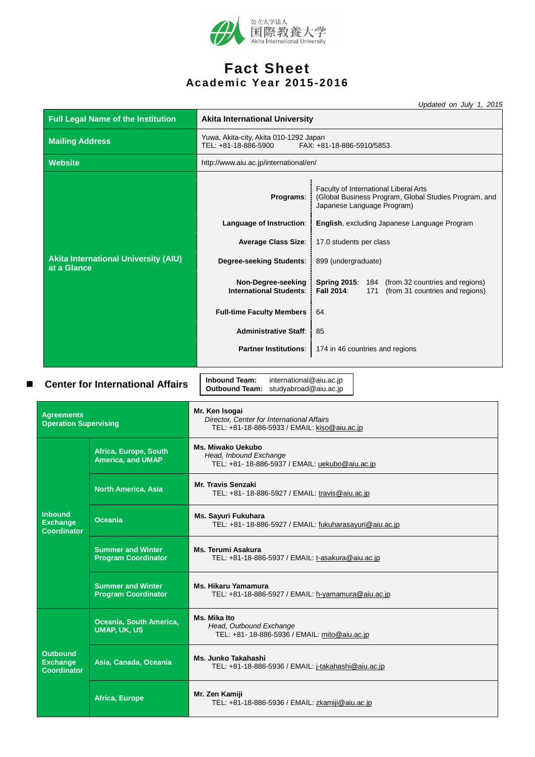

# **Fact Sheet Academic Year 2015-2016**

*Updated on July 1, 2015*

|                                                          | <b>Full Legal Name of the Institution</b>              | paaloa on oaij<br><b>Akita International University</b>                                                   |                                                                                                                              |  |
|----------------------------------------------------------|--------------------------------------------------------|-----------------------------------------------------------------------------------------------------------|------------------------------------------------------------------------------------------------------------------------------|--|
| <b>Mailing Address</b>                                   |                                                        | Yuwa, Akita-city, Akita 010-1292 Japan<br>TEL: +81-18-886-5900<br>FAX: +81-18-886-5910/5853               |                                                                                                                              |  |
| <b>Website</b>                                           |                                                        | http://www.aiu.ac.jp/international/en/                                                                    |                                                                                                                              |  |
|                                                          |                                                        | Programs:                                                                                                 | Faculty of International Liberal Arts<br>(Global Business Program, Global Studies Program, and<br>Japanese Language Program) |  |
|                                                          |                                                        | Language of Instruction:                                                                                  | English, excluding Japanese Language Program                                                                                 |  |
|                                                          |                                                        | <b>Average Class Size:</b>                                                                                | 17.0 students per class                                                                                                      |  |
| at a Glance                                              | <b>Akita International University (AIU)</b>            | Degree-seeking Students:                                                                                  | 899 (undergraduate)                                                                                                          |  |
|                                                          |                                                        | Non-Degree-seeking<br><b>International Students:</b>                                                      | <b>Spring 2015: 184</b><br>(from 32 countries and regions)<br><b>Fall 2014</b><br>(from 31 countries and regions)<br>171     |  |
|                                                          |                                                        | <b>Full-time Faculty Members</b>                                                                          | 64                                                                                                                           |  |
|                                                          |                                                        | <b>Administrative Staff:</b>                                                                              | 85                                                                                                                           |  |
|                                                          |                                                        | <b>Partner Institutions:</b>                                                                              | 174 in 46 countries and regions                                                                                              |  |
| ■                                                        | <b>Center for International Affairs</b>                | <b>Inbound Team:</b><br>international@aiu.ac.jp<br>Outbound Team: studyabroad@aiu.ac.jp<br>Mr. Ken Isogai |                                                                                                                              |  |
| <b>Agreements</b><br><b>Operation Supervising</b>        |                                                        | Director, Center for International Affairs<br>TEL: +81-18-886-5933 / EMAIL: kiso@aiu.ac.jp                |                                                                                                                              |  |
|                                                          | Africa, Europe, South<br><b>America, and UMAP</b>      | <b>Ms. Miwako Uekubo</b><br>Head, Inbound Exchange<br>TEL: +81- 18-886-5937 / EMAIL: uekubo@aiu.ac.jp     |                                                                                                                              |  |
|                                                          | <b>North America, Asia</b>                             | <b>Mr. Travis Senzaki</b><br>TEL: +81- 18-886-5927 / EMAIL: travis@aiu.ac.jp                              |                                                                                                                              |  |
| <b>Inbound</b><br><b>Exchange</b><br><b>Coordinator</b>  | <b>Oceania</b>                                         | Ms. Sayuri Fukuhara<br>TEL: +81- 18-886-5927 / EMAIL: fukuharasayuri@aiu.ac.jp                            |                                                                                                                              |  |
|                                                          | <b>Summer and Winter</b><br><b>Program Coordinator</b> | Ms. Terumi Asakura<br>TEL: +81-18-886-5937 / EMAIL: t-asakura@aiu.ac.jp                                   |                                                                                                                              |  |
|                                                          | <b>Summer and Winter</b><br><b>Program Coordinator</b> | <b>Ms. Hikaru Yamamura</b><br>TEL: +81-18-886-5927 / EMAIL: h-yamamura@aiu.ac.jp                          |                                                                                                                              |  |
|                                                          | Oceania, South America,<br><b>UMAP, UK, US</b>         | Ms. Mika Ito<br>Head, Outbound Exchange<br>TEL: +81- 18-886-5936 / EMAIL: mito@aiu.ac.jp                  |                                                                                                                              |  |
| <b>Outbound</b><br><b>Exchange</b><br><b>Coordinator</b> | Asia, Canada, Oceania                                  | Ms. Junko Takahashi<br>TEL: +81-18-886-5936 / EMAIL: j-takahashi@aiu.ac.jp                                |                                                                                                                              |  |
|                                                          | Africa, Europe                                         | Mr. Zen Kamiji<br>TEL: +81-18-886-5936 / EMAIL: zkamiji@aiu.ac.jp                                         |                                                                                                                              |  |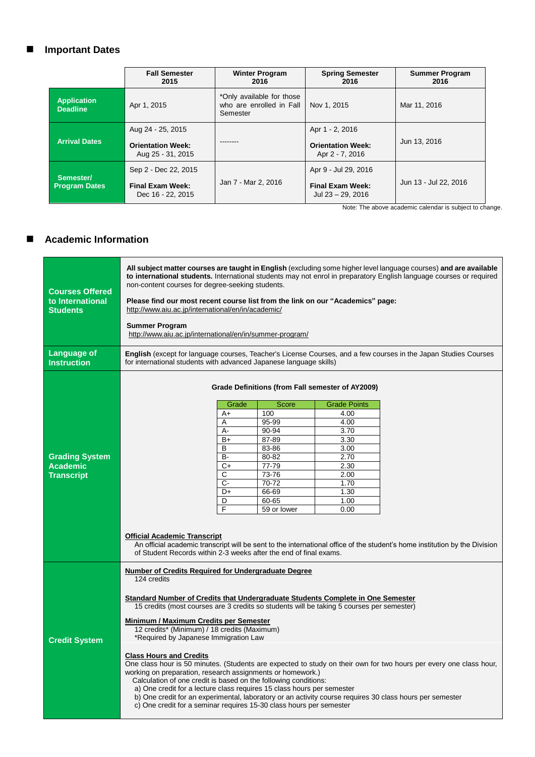## **Important Dates**

|                                       | <b>Fall Semester</b><br>2015                                         | <b>Winter Program</b><br>2016                                     | <b>Spring Semester</b><br>2016                                       | <b>Summer Program</b><br>2016 |
|---------------------------------------|----------------------------------------------------------------------|-------------------------------------------------------------------|----------------------------------------------------------------------|-------------------------------|
| <b>Application</b><br><b>Deadline</b> | Apr 1, 2015                                                          | *Only available for those<br>who are enrolled in Fall<br>Semester | Nov 1, 2015                                                          | Mar 11, 2016                  |
| <b>Arrival Dates</b>                  | Aug 24 - 25, 2015<br><b>Orientation Week:</b><br>Aug 25 - 31, 2015   |                                                                   | Apr 1 - 2, 2016<br><b>Orientation Week:</b><br>Apr 2 - 7, 2016       | Jun 13, 2016                  |
| Semester/<br><b>Program Dates</b>     | Sep 2 - Dec 22, 2015<br><b>Final Exam Week:</b><br>Dec 16 - 22, 2015 | Jan 7 - Mar 2, 2016                                               | Apr 9 - Jul 29, 2016<br><b>Final Exam Week:</b><br>Jul 23 - 29, 2016 | Jun 13 - Jul 22, 2016         |

Note: The above academic calendar is subject to change.

#### **Academic Information**

| <b>Courses Offered</b><br>to International<br><b>Students</b><br><b>Language of</b> | All subject matter courses are taught in English (excluding some higher level language courses) and are available<br>to international students. International students may not enrol in preparatory English language courses or required<br>non-content courses for degree-seeking students.<br>Please find our most recent course list from the link on our "Academics" page:<br>http://www.aiu.ac.ip/international/en/in/academic/<br><b>Summer Program</b><br>http://www.aiu.ac.jp/international/en/in/summer-program/<br>English (except for language courses, Teacher's License Courses, and a few courses in the Japan Studies Courses |       |             |                                                  |  |  |
|-------------------------------------------------------------------------------------|----------------------------------------------------------------------------------------------------------------------------------------------------------------------------------------------------------------------------------------------------------------------------------------------------------------------------------------------------------------------------------------------------------------------------------------------------------------------------------------------------------------------------------------------------------------------------------------------------------------------------------------------|-------|-------------|--------------------------------------------------|--|--|
| <b>Instruction</b>                                                                  | for international students with advanced Japanese language skills)                                                                                                                                                                                                                                                                                                                                                                                                                                                                                                                                                                           |       |             |                                                  |  |  |
|                                                                                     |                                                                                                                                                                                                                                                                                                                                                                                                                                                                                                                                                                                                                                              |       |             | Grade Definitions (from Fall semester of AY2009) |  |  |
|                                                                                     |                                                                                                                                                                                                                                                                                                                                                                                                                                                                                                                                                                                                                                              | Grade | Score       | <b>Grade Points</b>                              |  |  |
|                                                                                     |                                                                                                                                                                                                                                                                                                                                                                                                                                                                                                                                                                                                                                              | A+    | 100         | 4.00                                             |  |  |
|                                                                                     |                                                                                                                                                                                                                                                                                                                                                                                                                                                                                                                                                                                                                                              | A     | 95-99       | 4.00                                             |  |  |
|                                                                                     |                                                                                                                                                                                                                                                                                                                                                                                                                                                                                                                                                                                                                                              | А-    | 90-94       | 3.70                                             |  |  |
|                                                                                     |                                                                                                                                                                                                                                                                                                                                                                                                                                                                                                                                                                                                                                              | $B+$  | 87-89       | 3.30                                             |  |  |
|                                                                                     |                                                                                                                                                                                                                                                                                                                                                                                                                                                                                                                                                                                                                                              | B     | 83-86       | 3.00                                             |  |  |
| <b>Grading System</b>                                                               |                                                                                                                                                                                                                                                                                                                                                                                                                                                                                                                                                                                                                                              | B-    | 80-82       | 2.70                                             |  |  |
| <b>Academic</b>                                                                     |                                                                                                                                                                                                                                                                                                                                                                                                                                                                                                                                                                                                                                              | $C+$  | 77-79       | 2.30                                             |  |  |
| <b>Transcript</b>                                                                   |                                                                                                                                                                                                                                                                                                                                                                                                                                                                                                                                                                                                                                              | С     | 73-76       | 2.00                                             |  |  |
|                                                                                     |                                                                                                                                                                                                                                                                                                                                                                                                                                                                                                                                                                                                                                              | $C -$ | 70-72       | 1.70                                             |  |  |
|                                                                                     |                                                                                                                                                                                                                                                                                                                                                                                                                                                                                                                                                                                                                                              | D+    | 66-69       | 1.30                                             |  |  |
|                                                                                     |                                                                                                                                                                                                                                                                                                                                                                                                                                                                                                                                                                                                                                              | D     | 60-65       | 1.00                                             |  |  |
|                                                                                     |                                                                                                                                                                                                                                                                                                                                                                                                                                                                                                                                                                                                                                              | F     | 59 or lower | 0.00                                             |  |  |
|                                                                                     | <b>Official Academic Transcript</b><br>An official academic transcript will be sent to the international office of the student's home institution by the Division<br>of Student Records within 2-3 weeks after the end of final exams.                                                                                                                                                                                                                                                                                                                                                                                                       |       |             |                                                  |  |  |
|                                                                                     |                                                                                                                                                                                                                                                                                                                                                                                                                                                                                                                                                                                                                                              |       |             |                                                  |  |  |
|                                                                                     | <b>Number of Credits Required for Undergraduate Degree</b><br>124 credits                                                                                                                                                                                                                                                                                                                                                                                                                                                                                                                                                                    |       |             |                                                  |  |  |
|                                                                                     | Standard Number of Credits that Undergraduate Students Complete in One Semester<br>15 credits (most courses are 3 credits so students will be taking 5 courses per semester)<br>Minimum / Maximum Credits per Semester<br>12 credits* (Minimum) / 18 credits (Maximum)                                                                                                                                                                                                                                                                                                                                                                       |       |             |                                                  |  |  |
| <b>Credit System</b>                                                                | *Required by Japanese Immigration Law                                                                                                                                                                                                                                                                                                                                                                                                                                                                                                                                                                                                        |       |             |                                                  |  |  |
|                                                                                     | <b>Class Hours and Credits</b><br>One class hour is 50 minutes. (Students are expected to study on their own for two hours per every one class hour,<br>working on preparation, research assignments or homework.)<br>Calculation of one credit is based on the following conditions:<br>a) One credit for a lecture class requires 15 class hours per semester<br>b) One credit for an experimental, laboratory or an activity course requires 30 class hours per semester<br>c) One credit for a seminar requires 15-30 class hours per semester                                                                                           |       |             |                                                  |  |  |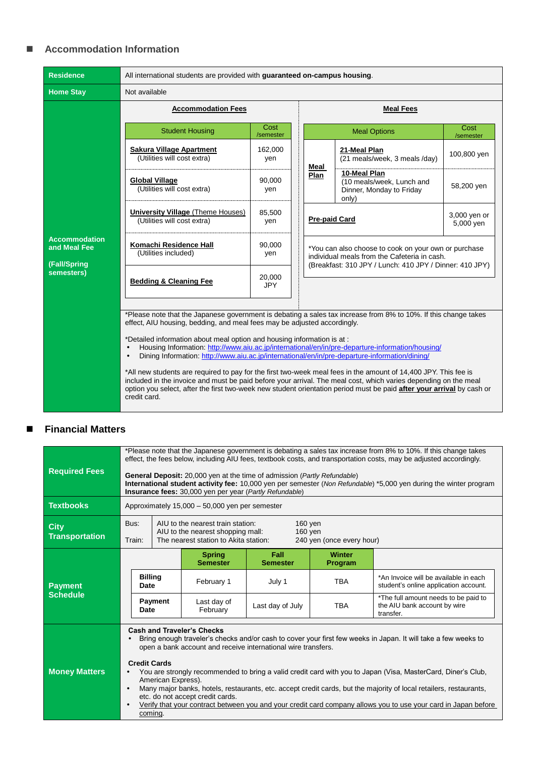#### **Accommodation Information**

| <b>Residence</b>                                                   | All international students are provided with guaranteed on-campus housing.                                                                                                                                                                                                                                                                                                                                                                                                                                                                                                                                                                                                                                                                           |                      |  |                      |                                                                                                                                                                 |                           |  |  |
|--------------------------------------------------------------------|------------------------------------------------------------------------------------------------------------------------------------------------------------------------------------------------------------------------------------------------------------------------------------------------------------------------------------------------------------------------------------------------------------------------------------------------------------------------------------------------------------------------------------------------------------------------------------------------------------------------------------------------------------------------------------------------------------------------------------------------------|----------------------|--|----------------------|-----------------------------------------------------------------------------------------------------------------------------------------------------------------|---------------------------|--|--|
| <b>Home Stay</b>                                                   | Not available                                                                                                                                                                                                                                                                                                                                                                                                                                                                                                                                                                                                                                                                                                                                        |                      |  |                      |                                                                                                                                                                 |                           |  |  |
|                                                                    | <b>Accommodation Fees</b>                                                                                                                                                                                                                                                                                                                                                                                                                                                                                                                                                                                                                                                                                                                            |                      |  | <b>Meal Fees</b>     |                                                                                                                                                                 |                           |  |  |
|                                                                    | <b>Student Housing</b>                                                                                                                                                                                                                                                                                                                                                                                                                                                                                                                                                                                                                                                                                                                               | Cost<br>/semester    |  |                      | <b>Meal Options</b>                                                                                                                                             | Cost<br>/semester         |  |  |
|                                                                    | Sakura Village Apartment<br>(Utilities will cost extra)                                                                                                                                                                                                                                                                                                                                                                                                                                                                                                                                                                                                                                                                                              | 162,000<br>yen       |  | Meal                 | 21-Meal Plan<br>(21 meals/week, 3 meals /day)                                                                                                                   | 100,800 yen               |  |  |
|                                                                    | <b>Global Village</b><br>(Utilities will cost extra)                                                                                                                                                                                                                                                                                                                                                                                                                                                                                                                                                                                                                                                                                                 | 90,000<br>yen        |  | Plan                 | 10-Meal Plan<br>(10 meals/week, Lunch and<br>Dinner, Monday to Friday<br>only)                                                                                  | 58,200 yen                |  |  |
| <b>Accommodation</b><br>and Meal Fee<br>(Fall/Spring<br>semesters) | University Village (Theme Houses)<br>(Utilities will cost extra)                                                                                                                                                                                                                                                                                                                                                                                                                                                                                                                                                                                                                                                                                     | 85,500<br>yen        |  | <b>Pre-paid Card</b> |                                                                                                                                                                 | 3,000 yen or<br>5,000 yen |  |  |
|                                                                    | Komachi Residence Hall<br>(Utilities included)                                                                                                                                                                                                                                                                                                                                                                                                                                                                                                                                                                                                                                                                                                       | 90,000<br>yen        |  |                      | *You can also choose to cook on your own or purchase<br>individual meals from the Cafeteria in cash.<br>(Breakfast: 310 JPY / Lunch: 410 JPY / Dinner: 410 JPY) |                           |  |  |
|                                                                    | <b>Bedding &amp; Cleaning Fee</b>                                                                                                                                                                                                                                                                                                                                                                                                                                                                                                                                                                                                                                                                                                                    | 20,000<br><b>JPY</b> |  |                      |                                                                                                                                                                 |                           |  |  |
|                                                                    | *Please note that the Japanese government is debating a sales tax increase from 8% to 10%. If this change takes                                                                                                                                                                                                                                                                                                                                                                                                                                                                                                                                                                                                                                      |                      |  |                      |                                                                                                                                                                 |                           |  |  |
|                                                                    | effect, AIU housing, bedding, and meal fees may be adjusted accordingly.<br>*Detailed information about meal option and housing information is at:<br>Housing Information: http://www.aiu.ac.jp/international/en/in/pre-departure-information/housing/<br>Dining Information: http://www.aiu.ac.jp/international/en/in/pre-departure-information/dining/<br>$\bullet$<br>*All new students are required to pay for the first two-week meal fees in the amount of 14,400 JPY. This fee is<br>included in the invoice and must be paid before your arrival. The meal cost, which varies depending on the meal<br>option you select, after the first two-week new student orientation period must be paid after your arrival by cash or<br>credit card. |                      |  |                      |                                                                                                                                                                 |                           |  |  |

## **Financial Matters**

| <b>Required Fees</b>                 | *Please note that the Japanese government is debating a sales tax increase from 8% to 10%. If this change takes<br>effect, the fees below, including AIU fees, textbook costs, and transportation costs, may be adjusted accordingly.<br><b>General Deposit:</b> 20,000 yen at the time of admission ( <i>Partly Refundable</i> )<br>International student activity fee: 10,000 yen per semester (Non Refundable) *5,000 yen during the winter program<br>Insurance fees: 30,000 yen per year (Partly Refundable)                                                                                                                                                        |                |                                  |                         |                          |                                                                                   |
|--------------------------------------|--------------------------------------------------------------------------------------------------------------------------------------------------------------------------------------------------------------------------------------------------------------------------------------------------------------------------------------------------------------------------------------------------------------------------------------------------------------------------------------------------------------------------------------------------------------------------------------------------------------------------------------------------------------------------|----------------|----------------------------------|-------------------------|--------------------------|-----------------------------------------------------------------------------------|
| <b>Textbooks</b>                     | Approximately 15,000 - 50,000 yen per semester                                                                                                                                                                                                                                                                                                                                                                                                                                                                                                                                                                                                                           |                |                                  |                         |                          |                                                                                   |
| <b>City</b><br><b>Transportation</b> | Bus:<br>AIU to the nearest train station:<br>$160$ yen<br>AIU to the nearest shopping mall:<br>$160$ yen<br>The nearest station to Akita station:<br>240 yen (once every hour)<br>Train:                                                                                                                                                                                                                                                                                                                                                                                                                                                                                 |                |                                  |                         |                          |                                                                                   |
|                                      |                                                                                                                                                                                                                                                                                                                                                                                                                                                                                                                                                                                                                                                                          |                | <b>Spring</b><br><b>Semester</b> | Fall<br><b>Semester</b> | <b>Winter</b><br>Program |                                                                                   |
| <b>Payment</b>                       | <b>Billing</b><br>Date                                                                                                                                                                                                                                                                                                                                                                                                                                                                                                                                                                                                                                                   |                | February 1                       | July 1                  | <b>TBA</b>               | *An Invoice will be available in each<br>student's online application account.    |
| <b>Schedule</b>                      | Date                                                                                                                                                                                                                                                                                                                                                                                                                                                                                                                                                                                                                                                                     | <b>Payment</b> | Last day of<br>February          | Last day of July        | <b>TBA</b>               | *The full amount needs to be paid to<br>the AIU bank account by wire<br>transfer. |
| <b>Money Matters</b>                 | <b>Cash and Traveler's Checks</b><br>Bring enough traveler's checks and/or cash to cover your first few weeks in Japan. It will take a few weeks to<br>open a bank account and receive international wire transfers.<br><b>Credit Cards</b><br>You are strongly recommended to bring a valid credit card with you to Japan (Visa, MasterCard, Diner's Club,<br>American Express).<br>Many major banks, hotels, restaurants, etc. accept credit cards, but the majority of local retailers, restaurants,<br>etc. do not accept credit cards.<br>Verify that your contract between you and your credit card company allows you to use your card in Japan before<br>coming. |                |                                  |                         |                          |                                                                                   |